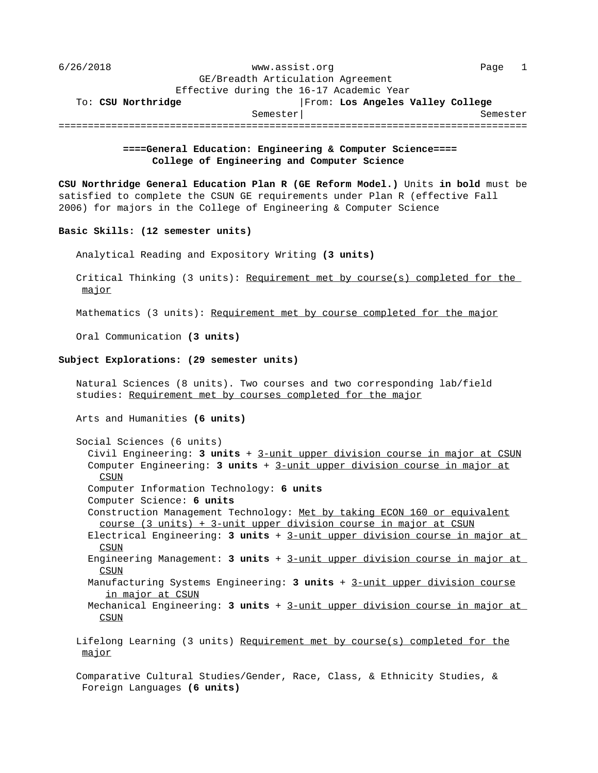| 6/26/2018                         | www.assist.org<br>Page                   |
|-----------------------------------|------------------------------------------|
| GE/Breadth Articulation Agreement |                                          |
|                                   | Effective during the 16-17 Academic Year |
| To: CSU Northridge                | From: Los Angeles Valley College         |
| Semester                          | Semester                                 |
|                                   |                                          |

## **====General Education: Engineering & Computer Science==== College of Engineering and Computer Science**

**CSU Northridge General Education Plan R (GE Reform Model.)** Units **in bold** must be satisfied to complete the CSUN GE requirements under Plan R (effective Fall 2006) for majors in the College of Engineering & Computer Science

## **Basic Skills: (12 semester units)**

Analytical Reading and Expository Writing **(3 units)**

Critical Thinking (3 units): Requirement met by course(s) completed for the major \_\_\_\_\_

Mathematics (3 units): Requirement met by course completed for the major

Oral Communication **(3 units)**

## **Subject Explorations: (29 semester units)**

 Natural Sciences (8 units). Two courses and two corresponding lab/field studies: Requirement met by courses completed for the major Arts and Humanities **(6 units)** Social Sciences (6 units) Civil Engineering: 3 units + 3-unit upper division course in major at CSUN Computer Engineering: 3 units + 3-unit upper division course in major at CSUN \_\_\_\_ Computer Information Technology: **6 units** Computer Science: **6 units** Construction Management Technology: Met by taking ECON 160 or equivalent course (3 units) + 3-unit upper division course in major at CSUN Electrical Engineering: 3 units + 3-unit upper division course in major at  $\overline{\mathtt{CSUN}}$ Engineering Management: 3 units + 3-unit upper division course in major at CSUN \_\_\_\_ Manufacturing Systems Engineering: 3 units + 3-unit upper division course in major at CSUN Mechanical Engineering: 3 units + 3-unit upper division course in major at CSUN \_\_\_\_

Lifelong Learning (3 units) Requirement met by course(s) completed for the major

 Comparative Cultural Studies/Gender, Race, Class, & Ethnicity Studies, & Foreign Languages **(6 units)**